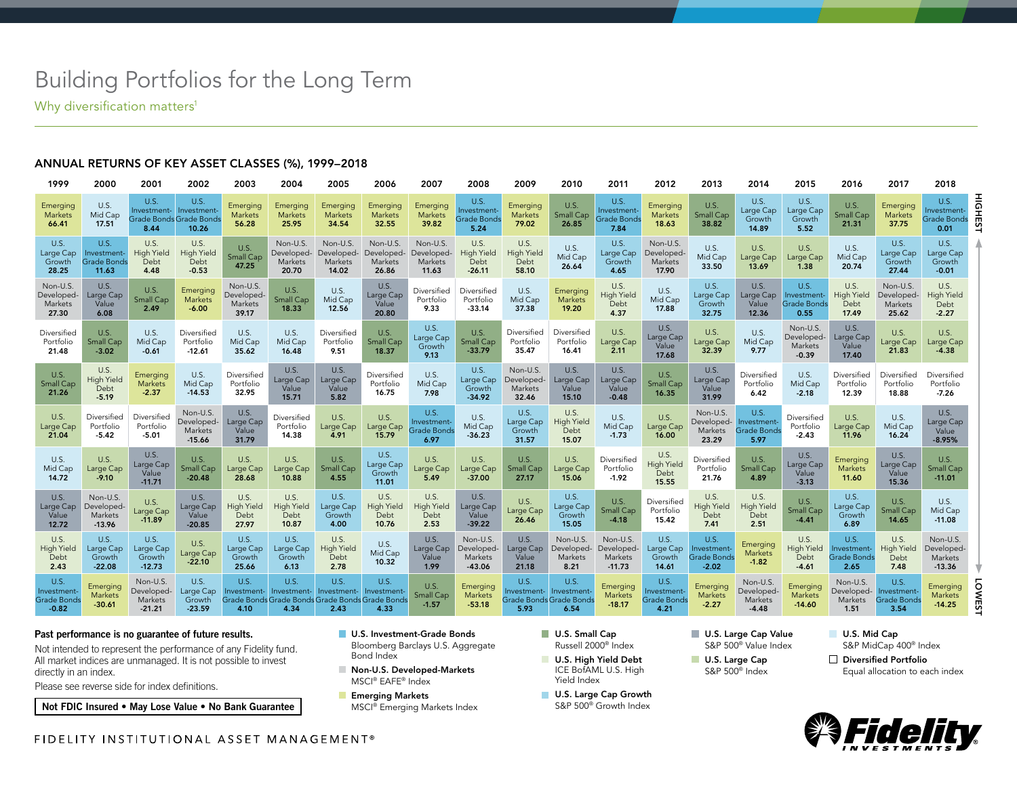# Building Portfolios for the Long Term

Why diversification matters<sup>1</sup>

### ANNUAL RETURNS OF KEY ASSET CLASSES (%), 1999–2018

| 1999                                                | 2000                                               | 2001                                                   | 2002                                          | 2003                                       | 2004                                       | 2005                                                                           | 2006                                       | 2007                                             | 2008                                          | 2009                                                              | 2010                                       | 2011                                              | 2012                                              | 2013                                                 | 2014                                              | 2015                                              | 2016                                       | 2017                                              | 2018                                              |                 |
|-----------------------------------------------------|----------------------------------------------------|--------------------------------------------------------|-----------------------------------------------|--------------------------------------------|--------------------------------------------|--------------------------------------------------------------------------------|--------------------------------------------|--------------------------------------------------|-----------------------------------------------|-------------------------------------------------------------------|--------------------------------------------|---------------------------------------------------|---------------------------------------------------|------------------------------------------------------|---------------------------------------------------|---------------------------------------------------|--------------------------------------------|---------------------------------------------------|---------------------------------------------------|-----------------|
| Emerging<br>Markets<br>66.41                        | U.S.<br>Mid Cap<br>17.51                           | U.S.<br>Investment-<br>Grade Bonds Grade Bonds<br>8.44 | U.S.<br>Investment-<br>10.26                  | Emerging<br>Markets<br>56.28               | Emerging<br>Markets<br>25.95               | Emerging<br>Markets<br>34.54                                                   | Emerging<br>Markets<br>32.55               | Emerging<br>Markets<br>39.82                     | U.S.<br>Investment<br>Grade Bonds<br>5.24     | Emerging<br><b>Markets</b><br>79.02                               | U.S.<br>Small Cap<br>26.85                 | U.S.<br>Investment-<br><b>Grade Bonds</b><br>7.84 | Emerging<br>Markets<br>18.63                      | U.S.<br><b>Small Cap</b><br>38.82                    | U.S.<br>Large Cap<br>Growth<br>14.89              | U.S.<br>Large Cap<br>Growth<br>5.52               | <b>U.S.</b><br>Small Cap<br>21.31          | Emerging<br>Markets<br>37.75                      | U.S.<br>Investment-<br><b>Grade Bonds</b><br>0.01 | HIGHEST         |
| U.S.<br>Large Cap<br>Growth<br>28.25                | U.S.<br>Investment-<br><b>Grade Bonds</b><br>11.63 | U.S.<br><b>High Yield</b><br>Debt<br>4.48              | U.S.<br><b>High Yield</b><br>Debt<br>$-0.53$  | U.S.<br>Small Cap<br>47.25                 | Non-U.S.<br>Developed-<br>Markets<br>20.70 | Non-U.S.<br>Developed-<br>Markets<br>14.02                                     | Non-U.S.<br>Developed-<br>Markets<br>26.86 | Non-U.S.<br>Developed-<br>Markets<br>11.63       | U.S.<br><b>High Yield</b><br>Debt<br>$-26.11$ | U.S.<br><b>High Yield</b><br>Debt<br>58.10                        | U.S.<br>Mid Cap<br>26.64                   | U.S.<br>Large Cap<br>Growth<br>4.65               | Non-U.S.<br>Developed-<br>Markets<br>17.90        | U.S.<br>Mid Cap<br>33.50                             | U.S.<br>Large Cap<br>13.69                        | U.S.<br>Large Cap<br>1.38                         | U.S.<br>Mid Cap<br>20.74                   | U.S.<br>Large Cap<br>Growth<br>27.44              | U.S.<br>Large Cap<br>Growth<br>$-0.01$            |                 |
| Non-U.S.<br>Developed-<br>Markets<br>27.30          | U.S.<br>Large Cap<br>Value<br>6.08                 | U.S.<br>Small Cap<br>2.49                              | Emerging<br><b>Markets</b><br>$-6.00$         | Non-U.S.<br>Developed-<br>Markets<br>39.17 | U.S.<br><b>Small Cap</b><br>18.33          | U.S.<br>Mid Cap<br>12.56                                                       | U.S.<br>Large Cap<br>Value<br>20.80        | Diversified<br>Portfolio<br>9.33                 | Diversified<br>Portfolio<br>$-33.14$          | U.S.<br>Mid Cap<br>37.38                                          | Emerging<br>Markets<br>19.20               | U.S.<br><b>High Yield</b><br>Debt<br>4.37         | U.S.<br>Mid Cap<br>17.88                          | U.S.<br>Large Cap<br>Growth<br>32.75                 | U.S.<br>Large Cap<br>Value<br>12.36               | U.S.<br>Investment-<br><b>Grade Bonds</b><br>0.55 | U.S.<br><b>High Yield</b><br>Debt<br>17.49 | Non-U.S.<br>Developed-<br>Markets<br>25.62        | U.S.<br><b>High Yield</b><br>Debt<br>$-2.27$      |                 |
| Diversified<br>Portfolio<br>21.48                   | U.S.<br>Small Cap<br>$-3.02$                       | U.S.<br>Mid Cap<br>$-0.61$                             | Diversified<br>Portfolio<br>$-12.61$          | U.S.<br>Mid Cap<br>35.62                   | U.S.<br>Mid Cap<br>16.48                   | Diversified<br>Portfolio<br>9.51                                               | U.S.<br>Small Cap<br>18.37                 | U.S.<br>Large Cap<br>Growth<br>9.13              | U.S.<br>Small Cap<br>$-33.79$                 | Diversified<br>Portfolio<br>35.47                                 | Diversified<br>Portfolio<br>16.41          | U.S.<br>Large Cap<br>2.11                         | <b>U.S.</b><br>Large Cap<br>Value<br>17.68        | U.S.<br>Large Cap<br>32.39                           | U.S.<br>Mid Cap<br>9.77                           | Non-U.S.<br>Developed-<br>Markets<br>$-0.39$      | U.S.<br>arge Cap<br>Value<br>17.40         | U.S.<br>Large Cap<br>21.83                        | U.S.<br>Large Cap<br>$-4.38$                      |                 |
| U.S.<br>Small Cap<br>21.26                          | U.S.<br><b>High Yield</b><br>Debt<br>$-5.19$       | Emerging<br><b>Markets</b><br>$-2.37$                  | U.S.<br>Mid Cap<br>$-14.53$                   | Diversified<br>Portfolio<br>32.95          | U.S.<br>Large Cap<br>Value<br>15.71        | U.S.<br>Large Cap<br>Value<br>5.82                                             | Diversified<br>Portfolio<br>16.75          | U.S.<br>Mid Cap<br>7.98                          | U.S.<br>Large Cap<br>Growth<br>$-34.92$       | Non-U.S.<br>Developed-<br>Markets<br>32.46                        | U.S.<br>Large Cap<br>Value<br>15.10        | U.S.<br>Large Cap<br>Value<br>$-0.48$             | <b>U.S.</b><br><b>Small Cap</b><br>16.35          | U.S.<br>Large Cap<br>Value<br>31.99                  | Diversified<br>Portfolio<br>6.42                  | U.S.<br>Mid Cap<br>$-2.18$                        | Diversified<br>Portfolio<br>12.39          | Diversified<br>Portfolio<br>18.88                 | Diversified<br>Portfolio<br>$-7.26$               |                 |
| <b>U.S.</b><br>Large Cap<br>21.04                   | Diversified<br>Portfolio<br>$-5.42$                | Diversified<br>Portfolio<br>$-5.01$                    | Non-U.S.<br>Developed-<br>Markets<br>$-15.66$ | U.S.<br>Large Cap<br>Value<br>31.79        | Diversified<br>Portfolio<br>14.38          | U.S.<br>Large Cap<br>4.91                                                      | U.S.<br>Large Cap<br>15.79                 | U.S.<br>Investment<br><b>Grade Bond:</b><br>6.97 | U.S.<br>Mid Cap<br>$-36.23$                   | <b>U.S.</b><br>Large Cap<br>Growth<br>31.57                       | U.S.<br><b>High Yield</b><br>Debt<br>15.07 | U.S.<br>Mid Cap<br>$-1.73$                        | U.S.<br>Large Cap<br>16.00                        | Non-U.S.<br>Developed-<br>Markets<br>23.29           | <b>U.S.</b><br>Investment-<br>Grade Bonds<br>5.97 | Diversified<br>Portfolio<br>$-2.43$               | U.S.<br>Large Cap<br>11.96                 | U.S.<br>Mid Cap<br>16.24                          | <b>U.S.</b><br>Large Cap<br>Value<br>$-8.95%$     |                 |
| U.S.<br>Mid Cap<br>14.72                            | U.S.<br>Large Cap<br>$-9.10$                       | U.S.<br>Large Cap<br>Value<br>$-11.71$                 | U.S.<br><b>Small Cap</b><br>$-20.48$          | U.S.<br>Large Cap<br>28.68                 | U.S.<br>Large Cap<br>10.88                 | U.S.<br>Small Cap<br>4.55                                                      | U.S.<br>Large Cap<br>Growth<br>11.01       | U.S.<br>Large Cap<br>5.49                        | U.S.<br>Large Cap<br>$-37.00$                 | U.S.<br>Small Cap<br>27.17                                        | U.S.<br>Large Cap<br>15.06                 | Diversified<br>Portfolio<br>$-1.92$               | U.S.<br><b>High Yield</b><br>Debt<br>15.55        | Diversified<br>Portfolio<br>21.76                    | U.S.<br>Small Cap<br>4.89                         | U.S.<br>Large Cap<br>Value<br>$-3.13$             | Emerging<br><b>Markets</b><br>11.60        | U.S.<br>Large Cap<br>Value<br>15.36               | U.S.<br>Small Cap<br>$-11.01$                     |                 |
| U.S.<br>Large Cap<br>Value<br>12.72                 | Non-U.S.<br>Developed-<br>Markets<br>$-13.96$      | U.S.<br>Large Cap<br>$-11.89$                          | U.S.<br>Large Cap<br>Value<br>$-20.85$        | U.S.<br><b>High Yield</b><br>Debt<br>27.97 | U.S.<br><b>High Yield</b><br>Debt<br>10.87 | U.S.<br>Large Cap<br>Growth<br>4.00                                            | U.S.<br><b>High Yield</b><br>Debt<br>10.76 | U.S.<br><b>High Yield</b><br>Debt<br>2.53        | U.S.<br>Large Cap<br>Value<br>$-39.22$        | U.S.<br>Large Cap<br>26.46                                        | U.S.<br>Large Cap<br>Growth<br>15.05       | U.S.<br>Small Cap<br>$-4.18$                      | Diversified<br>Portfolio<br>15.42                 | U.S.<br><b>High Yield</b><br>Debt<br>7.41            | U.S.<br><b>High Yield</b><br>Debt<br>2.51         | U.S.<br><b>Small Cap</b><br>$-4.41$               | U.S.<br>Large Cap<br>Growth<br>6.89        | U.S.<br>Small Cap<br>14.65                        | U.S.<br>Mid Cap<br>$-11.08$                       |                 |
| U.S.<br><b>High Yield</b><br>Debt<br>2.43           | U.S.<br>Large Cap<br>Growth<br>$-22.08$            | U.S.<br>Large Cap<br>Growth<br>$-12.73$                | <b>U.S.</b><br>Large Cap<br>$-22.10$          | U.S.<br>Large Cap<br>Growth<br>25.66       | U.S.<br>Large Cap<br>Growth<br>6.13        | U.S.<br><b>High Yield</b><br>Debt<br>2.78                                      | U.S.<br>Mid Cap<br>10.32                   | U.S.<br>Large Cap<br>Value<br>1.99               | Non-U.S.<br>Developed-<br>Markets<br>$-43.06$ | U.S.<br>Large Cap<br>Value<br>21.18                               | Non-U.S.<br>Developed-<br>Markets<br>8.21  | Non-U.S.<br>Developed-<br>Markets<br>$-11.73$     | U.S.<br>Large Cap<br>Growth<br>14.61              | U.S.<br>Investment-<br><b>Grade Bonds</b><br>$-2.02$ | Emerging<br><b>Markets</b><br>$-1.82$             | U.S.<br>High Yield<br>Debt<br>$-4.61$             | U.S.<br>Investment-<br>Grade Bonds<br>2.65 | U.S.<br><b>High Yield</b><br>Debt<br>7.48         | Non-U.S.<br>Developed-<br>Markets<br>$-13.36$     |                 |
| <b>U.S.</b><br>Investment<br>Grade Bonds<br>$-0.82$ | Emerging<br>Markets<br>$-30.61$                    | Non-U.S.<br>Developed-<br>Markets<br>$-21.21$          | U.S.<br>Large Cap<br>Growth<br>$-23.59$       | U.S.<br>Investment-<br>4.10                | U.S.<br>Investment-<br>4.34                | U.S.<br>Investment-<br>Grade Bonds Grade Bonds Grade Bonds Grade Bonds<br>2.43 | U.S.<br>Investment-<br>4.33                | U.S.<br>Small Cap<br>$-1.57$                     | Emerging<br>Markets<br>$-53.18$               | U.S.<br>nvestment- Investment-<br>Grade Bonds Grade Bonds<br>5.93 | U.S.<br>6.54                               | Emerging<br>Markets<br>$-18.17$                   | U.S.<br>Investment-<br><b>Grade Bonds</b><br>4.21 | Emerging<br>Markets<br>$-2.27$                       | Non-U.S.<br>Developed-<br>Markets<br>$-4.48$      | Emerging<br>Markets<br>$-14.60$                   | Non-U.S.<br>Developed-<br>Markets<br>1.51  | U.S.<br>Investment-<br><b>Grade Bonds</b><br>3.54 | Emerging<br>Markets<br>$-14.25$                   | O<br><b>NES</b> |

#### Past performance is no guarantee of future results.

Not intended to represent the performance of any Fidelity fund. All market indices are unmanaged. It is not possible to invest directly in an index.

Please see reverse side for index definitions.

Not FDIC Insured • May Lose Value • No Bank Guarantee

#### **U.S. Investment-Grade Bonds** Bloomberg Barclays U.S. Aggregate Bond Index

- Non-U.S. Developed-Markets MSCI® EAFE® Index
- **Emerging Markets** MSCI® Emerging Markets Index
- U.S. Small Cap Russell 2000® Index
- U.S. High Yield Debt ICE BofAML U.S. High Yield Index
- **U.S. Large Cap Growth** S&P 500® Growth Index

U.S. Large Cap Value S&P 500® Value Index

- U.S. Large Cap S&P 500® Index
- U.S. Mid Cap S&P MidCap 400® Index
- Diversified Portfolio Equal allocation to each index



FIDELITY INSTITUTIONAL ASSET MANAGEMENT®